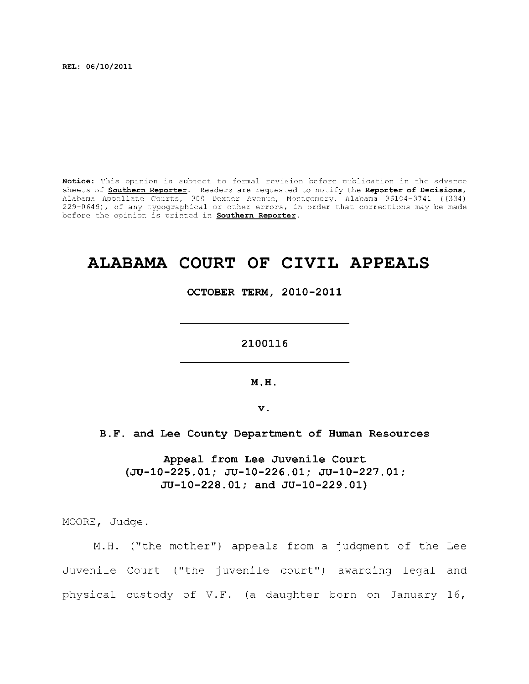**REL: 06/10/2011** 

Notice: This opinion is subject to formal revision before publication in the advance sheets of **Southern Reporter**. Readers are requested to notify the Reporter of Decisions, Alabama Appellat e Courts , 300 Dexte r Avenue, Montgomery, Alabama 36104-3741 ((334) 229-0649), of any typographical or other errors, in order that corrections may be made before the opinion is printed in **Southern Reporter**.

# **ALABAMA COURT OF CIVIL APPEALS**

**OCTOBER TERM, 2010-2011** 

**2100116** 

**M.H.** 

**v.** 

# **B.F. and Lee County Department of Human Resources**

**Appeal from Lee Juvenile Court (JU-10-225.01; JU-10-226.01; JU-10-227.01; JU-10-228.01; and JU-10-229.01)** 

MOORE, Judge .

M.H. ("the mother") appeals from a judgment of the Lee Juvenile Court ("the juvenile court") awarding legal and physical custody of V.F. (a daughter born on January 16,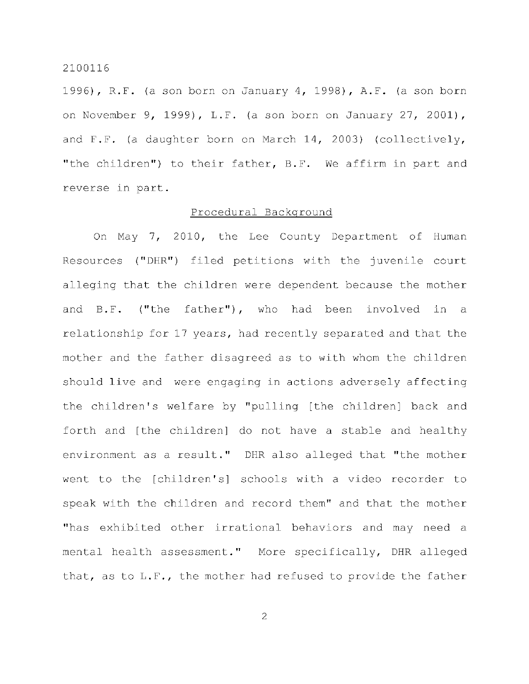1996), R.F. (a son born on January 4, 1998), A.F. (a son born on November 9, 1999), L.F. (a son born on January 27, 2001), and F.F. (a daughter born on March 14, 2003) (collectively, "the children") to their father, B.F. We affirm in part and reverse in part.

#### Procedural Background

On May 7, 2010, the Lee County Department of Human Resources ("DHR") filed petitions with the juvenile court alleging that the children were dependent because the mother and B.F. ("the father"), who had been involved in a relationship for 17 years, had recently separated and that the mother and the father disagreed as to with whom the children should live and were engaging in actions adversely affecting the children's welfare by "pulling [the children] back and forth and [the children] do not have a stable and healthy environment as a result." DHR also alleged that "the mother went to the [children's] schools with a video recorder to speak with the children and record them" and that the mother "has exhibited other irrational behaviors and may need a mental health assessment." More specifically, DHR alleged that, as to  $L.F.$ , the mother had refused to provide the father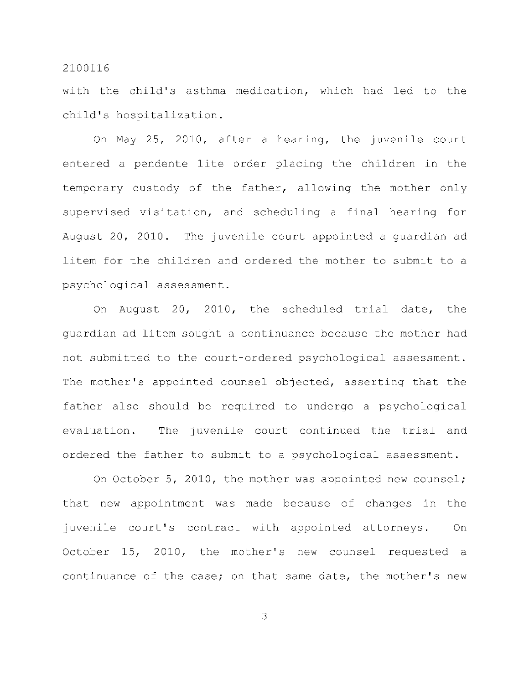with the child's asthma medication, which had led to the child's hospitalization.

On May  $25$ ,  $2010$ , after a hearing, the juvenile court entered a pendente lite order placing the children in the temporary custody of the father, allowing the mother only supervised visitation, and scheduling a final hearing for August 20, 2010. The juvenile court appointed a quardian ad litem for the children and ordered the mother to submit to a psychological assessment.

On August 20, 2010, the scheduled trial date, the quardian ad litem sought a continuance because the mother had not submitted to the court-ordered psychological assessment. The mother's appointed counsel objected, asserting that the father also should be required to undergo a psychological evaluation. The juvenile court continued the trial and ordered the father to submit to a psychological assessment.

On October 5, 2010, the mother was appointed new counsel; that new appointment was made because of changes in the juvenile court's contract with appointed attorneys. On October 15, 2010, the mother's new counsel requested a continuance of the case; on that same date, the mother's new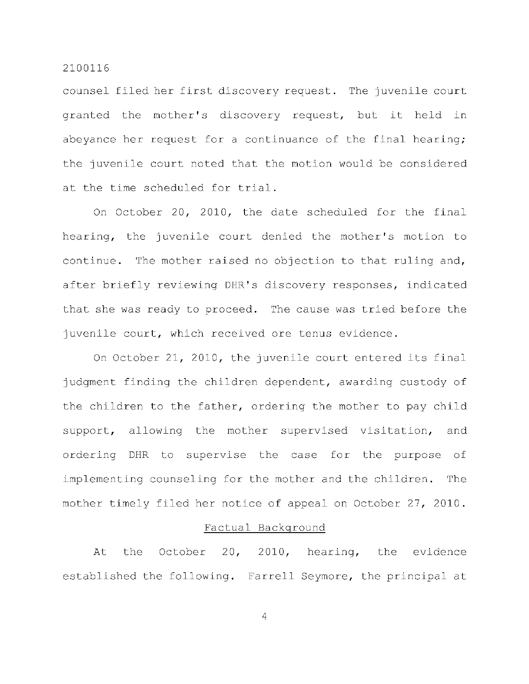counsel filed her first discovery request. The juvenile court granted the mother's discovery request, but it held in abeyance her request for a continuance of the final hearing; the juvenile court noted that the motion would be considered at the time scheduled for trial.

On October 20, 2010, the date scheduled for the final hearing, the juvenile court denied the mother's motion to continue. The mother raised no objection to that ruling and, after briefly reviewing DHR's discovery responses, indicated that she was ready to proceed. The cause was tried before the juvenile court, which received ore tenus evidence.

On October 21, 2010, the juvenile court entered its final judgment finding the children dependent, awarding custody of the children to the father, ordering the mother to pay child support, allowing the mother supervised visitation, and ordering DHR to supervise the case for the purpose of implementing counseling for the mother and the children. The mother timely filed her notice of appeal on October 27, 2010.

## Factual Background

At the October 20, 2010, hearing, the evidence established the following. Farrell Seymore, the principal at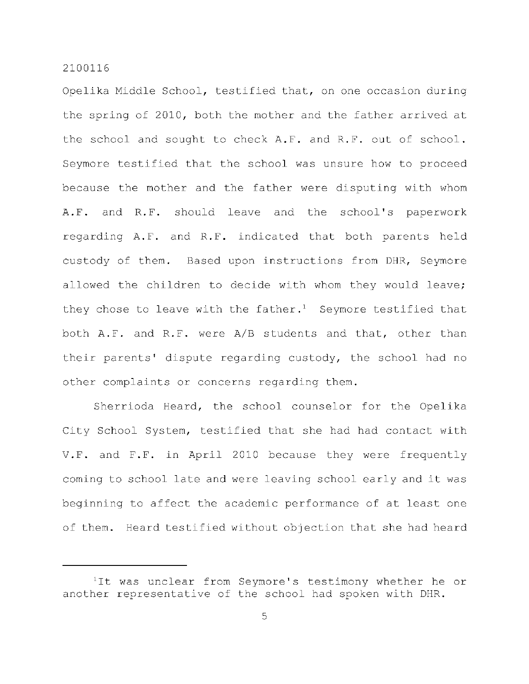Opelika Middle School, testified that, on one occasion during the spring of 2010, both the mother and the father arrived at the school and sought to check A.F. and R.F. out of school. Seymore testified that the school was unsure how to proceed because the mother and the father were disputing with whom A.F. and R.F. should leave and the school's paperwork regarding A.F. and R.F. indicated that both parents held custody of them. Based upon instructions from DHR, Seymore allowed the children to decide with whom they would leave; they chose to leave with the father.<sup>1</sup> Seymore testified that both  $A.F.$  and  $R.F.$  were  $A/B$  students and that, other than their parents' dispute regarding custody, the school had no other complaints or concerns regarding them.

Sherrioda Heard, the school counselor for the Opelika City School System, testified that she had had contact with V.F. and  $F.F.$  in April 2010 because they were frequently coming to school late and were leaving school early and it was beginning to affect the academic performance of at least one of them. Heard testified without objection that she had heard

 $1$ It was unclear from Seymore's testimony whether he or another representative of the school had spoken with DHR.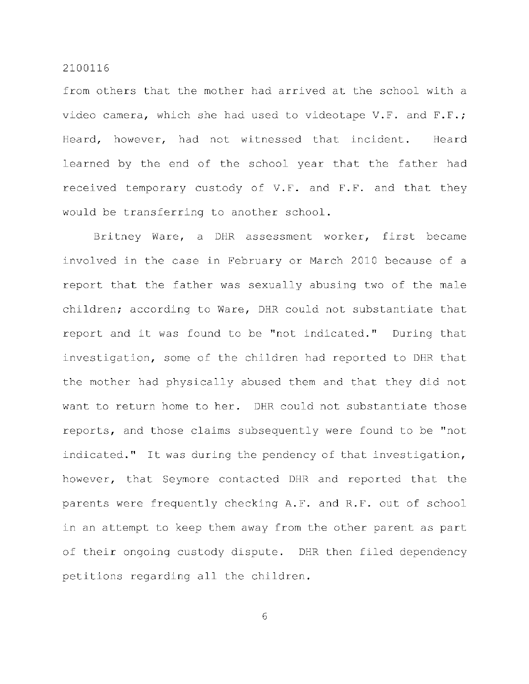from others that the mother had arrived at the school with a video camera, which she had used to videotape V.F. and F.F.; Heard, however, had not witnessed that incident. Heard learned by the end of the school year that the father had received temporary custody of V.F. and F.F. and that they would be transferring to another school.

Britney Ware, a DHR assessment worker, first became involved in the case in February or March 2010 because of a report that the father was sexually abusing two of the male children; according to Ware, DHR could not substantiate that report and it was found to be "not indicated." During that investigation, some of the children had reported to DHR that the mother had physically abused them and that they did not want to return home to her. DHR could not substantiate those reports, and those claims subsequently were found to be "not indicated." It was during the pendency of that investigation, however, that Seymore contacted DHR and reported that the parents were frequently checking A.F. and R.F. out of school in an attempt to keep them away from the other parent as part of their ongoing custody dispute. DHR then filed dependency petitions regarding all the children.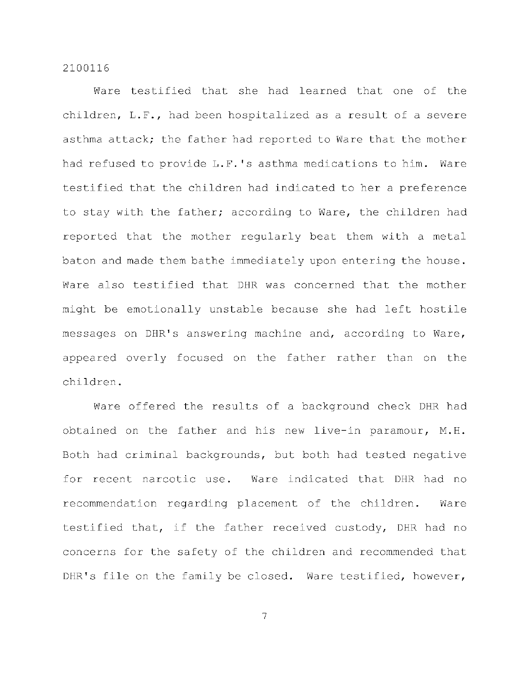Ware testified that she had learned that one of the children, L.F., had been hospitalized as a result of a severe asthma attack; the father had reported to Ware that the mother had refused to provide L.F.'s asthma medications to him. Ware testified that the children had indicated to her a preference to stay with the father; according to Ware, the children had reported that the mother regularly beat them with a metal baton and made them bathe immediately upon entering the house. Ware also testified that DHR was concerned that the mother might be emotionally unstable because she had left hostile messages on DHR's answering machine and, according to Ware, appeared overly focused on the father rather than on the children .

Ware offered the results of a background check DHR had obtained on the father and his new live-in paramour,  $M.H.$ Both had criminal backgrounds, but both had tested negative for recent narcotic use. Ware indicated that DHR had no recommendation regarding placement of the children. Ware testified that, if the father received custody, DHR had no concerns for the safety of the children and recommended that DHR's file on the family be closed. Ware testified, however,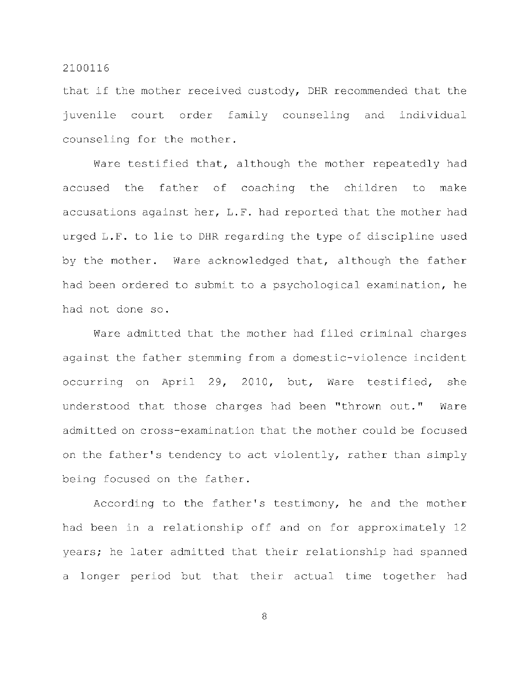that if the mother received custody, DHR recommended that the juvenile court order family counseling and individual counseling for the mother.

Ware testified that, although the mother repeatedly had accused the father of coaching the children to make accusations against her,  $L.F.$  had reported that the mother had urged L.F. to lie to DHR regarding the type of discipline used by the mother. Ware acknowledged that, although the father had been ordered to submit to a psychological examination, he had not done so.

Ware admitted that the mother had filed criminal charges against the father stemming from a domestic-violence incident occurring on April 29, 2010, but, Ware testified, she understood that those charges had been "thrown out." Ware admitted on cross-examination that the mother could be focused on the father's tendency to act violently, rather than simply being focused on the father.

According to the father's testimony, he and the mother had been in a relationship off and on for approximately 12 years; he later admitted that their relationship had spanned a longer period but that their actual time together had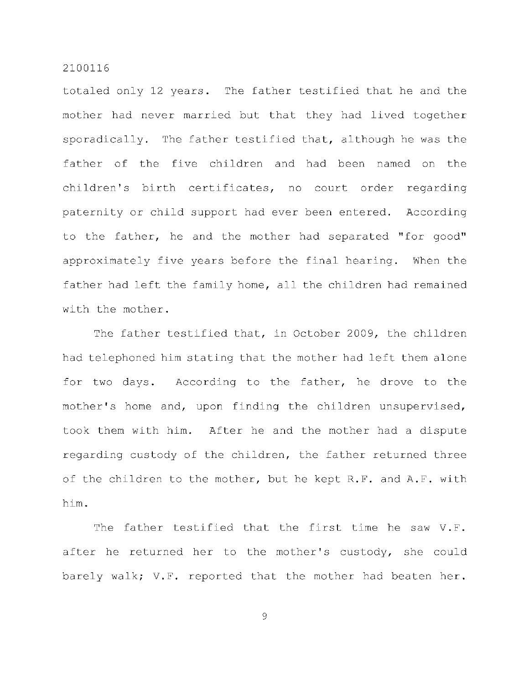totaled only 12 years. The father testified that he and the mother had never married but that they had lived together sporadically. The father testified that, although he was the father of the five children and had been named on the children's birth certificates, no court order regarding paternity or child support had ever been entered. According to the father, he and the mother had separated "for good" approximately five years before the final hearing. When the father had left the family home, all the children had remained with the mother.

The father testified that, in October 2009, the children had telephoned him stating that the mother had left them alone for two days. According to the father, he drove to the mother's home and, upon finding the children unsupervised, took them with him. After he and the mother had a dispute regarding custody of the children, the father returned three of the children to the mother, but he kept R.F. and A.F. with him .

The father testified that the first time he saw V.F. after he returned her to the mother's custody, she could barely walk; V.F. reported that the mother had beaten her.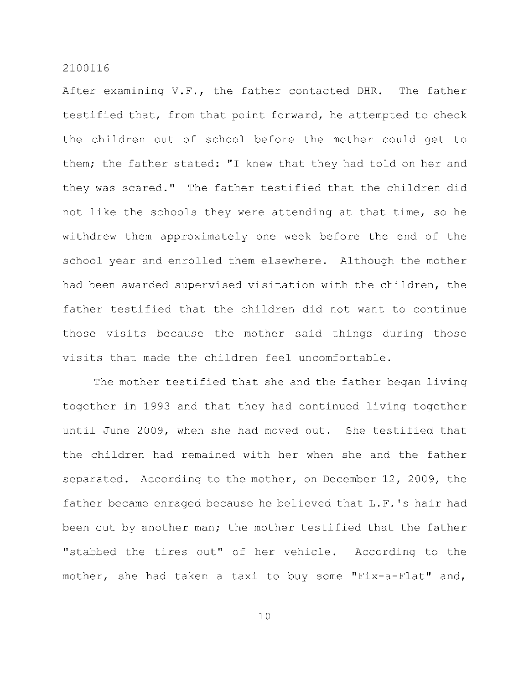After examining  $V.F.,$  the father contacted DHR. The father testified that, from that point forward, he attempted to check the children out of school before the mother could get to them; the father stated: "I knew that they had told on her and they was scared." The father testified that the children did not like the schools they were attending at that time, so he withdrew them approximately one week before the end of the school year and enrolled them elsewhere. Although the mother had been awarded supervised visitation with the children, the father testified that the children did not want to continue those visits because the mother said things during those visits that made the children feel uncomfortable.

The mother testified that she and the father began living together in 1993 and that they had continued living together until June 2009, when she had moved out. She testified that the children had remained with her when she and the father separated. According to the mother, on December 12, 2009, the father became enraged because he believed that  $L.F.'s$  hair had been cut by another man; the mother testified that the father "stabbed the tires out" of her vehicle. According to the mother, she had taken a taxi to buy some "Fix-a-Flat" and,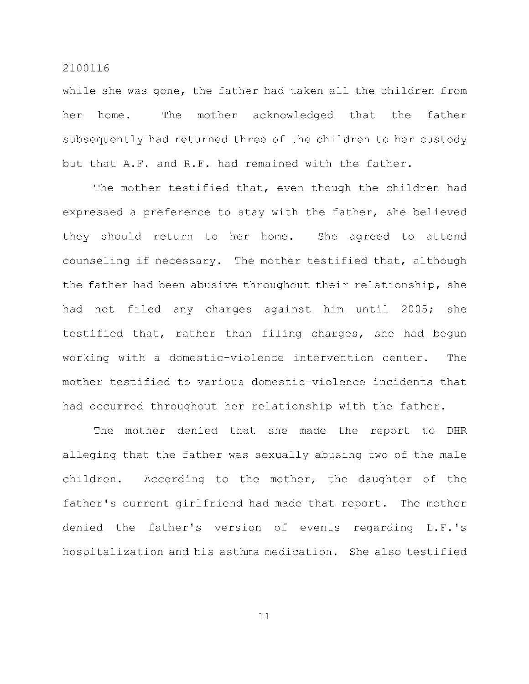while she was gone, the father had taken all the children from her home. The mother acknowledged that the father subsequently had returned three of the children to her custody but that A.F. and R.F. had remained with the father.

The mother testified that, even though the children had expressed a preference to stay with the father, she believed they should return to her home. She agreed to attend counseling if necessary. The mother testified that, although the father had been abusive throughout their relationship, she had not filed any charges against him until 2005; she testified that, rather than filing charges, she had begun working with a domestic-violence intervention center. The mother testified to various domestic-violence incidents that had occurred throughout her relationship with the father.

The mother denied that she made the report to DHR alleging that the father was sexually abusing two of the male children. According to the mother, the daughter of the father's current girlfriend had made that report. The mother denied the father's version of events regarding L.F.'s hospitalization and his asthma medication. She also testified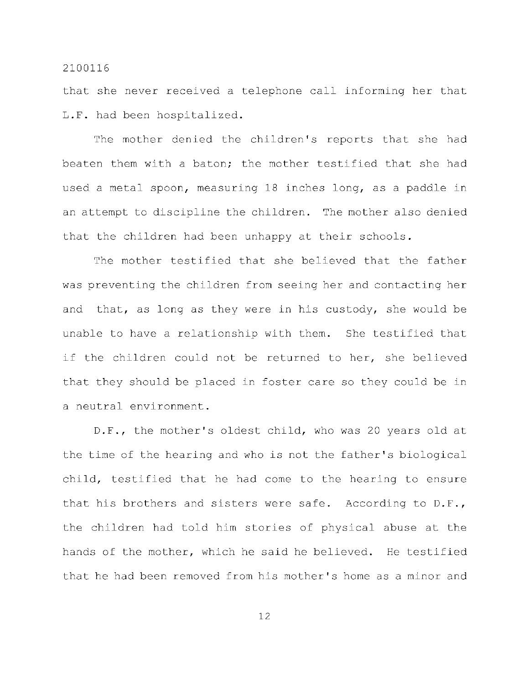that she never received a telephone call informing her that L.F. had been hospitalized.

The mother denied the children's reports that she had beaten them with a baton; the mother testified that she had used a metal spoon, measuring 18 inches long, as a paddle in an attempt to discipline the children. The mother also denied that the children had been unhappy at their schools.

The mother testified that she believed that the father was preventing the children from seeing her and contacting her and that, as long as they were in his custody, she would be unable to have a relationship with them. She testified that if the children could not be returned to her, she believed that they should be placed in foster care so they could be in a neutral environment.

D.F., the mother's oldest child, who was 20 years old at the time of the hearing and who is not the father's biological child, testified that he had come to the hearing to ensure that his brothers and sisters were safe. According to  $D.F.,$ the children had told him stories of physical abuse at the hands of the mother, which he said he believed. He testified that he had been removed from his mother's home as a minor and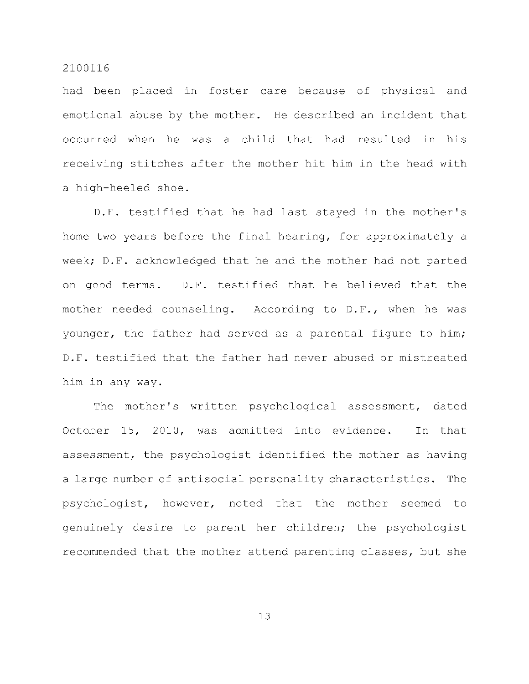had been placed in foster care because of physical and emotional abuse by the mother. He described an incident that occurred when he was a child that had resulted in his receiving stitches after the mother hit him in the head with a high-heeled shoe.

D.F. testified that he had last stayed in the mother's home two years before the final hearing, for approximately a week; D.F. acknowledged that he and the mother had not parted on good terms. D.F. testified that he believed that the mother needed counseling. According to D.F., when he was younger, the father had served as a parental figure to him; D.F. testified that the father had never abused or mistreated him in any way.

The mother's written psychological assessment, dated October 15, 2010, was admitted into evidence. In that assessment, the psychologist identified the mother as having a large number of antisocial personality characteristics. The psychologist, however, noted that the mother seemed to genuinely desire to parent her children; the psychologist recommended that the mother attend parenting classes, but she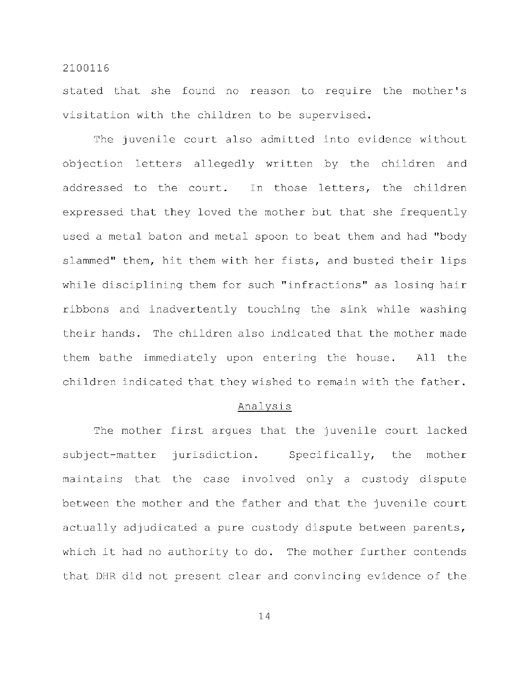stated that she found no reason to require the mother's visitation with the children to be supervised.

The juvenile court also admitted into evidence without objection letters allegedly written by the children and addressed to the court. In those letters, the children expressed that they loved the mother but that she frequently used a metal baton and metal spoon to beat them and had "body slammed" them, hit them with her fists, and busted their lips while disciplining them for such "infractions" as losing hair ribbons and inadvertently touching the sink while washing their hands. The children also indicated that the mother made them bathe immediately upon entering the house. All the children indicated that they wished to remain with the father.

#### Analysi s

The mother first argues that the juvenile court lacked subject-matter jurisdiction. Specifically, the mother maintains that the case involved only a custody dispute between the mother and the father and that the juvenile court actually adjudicated a pure custody dispute between parents, which it had no authority to do. The mother further contends that DHR did not present clear and convincing evidence of the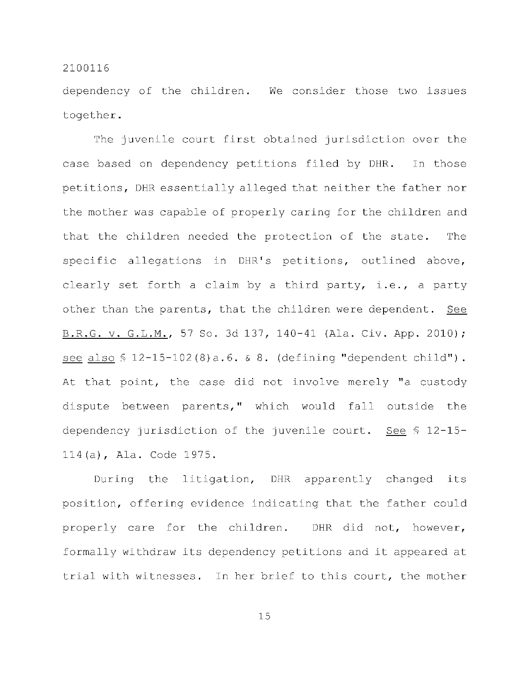dependency of the children. We consider those two issues together .

The juvenile court first obtained jurisdiction over the case based on dependency petitions filed by DHR. In those petitions, DHR essentially alleged that neither the father nor the mother was capable of properly caring for the children and that the children needed the protection of the state. The specific allegations in DHR's petitions, outlined above, clearly set forth a claim by a third party, i.e., a party other than the parents, that the children were dependent. See B.R.G. v. G.L.M., 57 So. 3d 137, 140-41 (Ala. Civ. App. 2010); see also  $$ 12-15-102(8) a.6. \& 8.$  (defining "dependent child"). At that point, the case did not involve merely "a custody dispute between parents," which would fall outside the dependency jurisdiction of the juvenile court. See  $\S$  12-15-114(a), Ala. Code 1975.

During the litigation, DHR apparently changed its position, offering evidence indicating that the father could properly care for the children. DHR did not, however, formally withdraw its dependency petitions and it appeared at trial with witnesses. In her brief to this court, the mother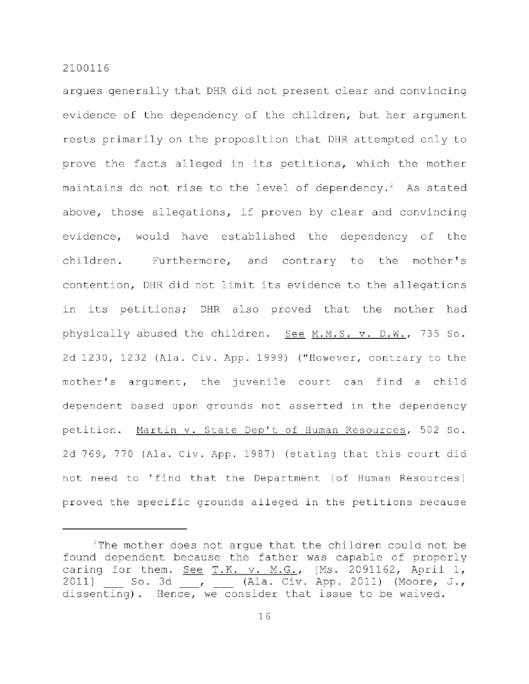argues generally that DHR did not present clear and convincing evidence of the dependency of the children, but her argument rests primarily on the proposition that DHR attempted only to prove the facts alleged in its petitions, which the mother maintains do not rise to the level of dependency.<sup>2</sup> As stated above, those allegations, if proven by clear and convincing evidence, would have established the dependency of the children. Furthermore, and contrary to the mother's contention, DHR did not limit its evidence to the allegations in its petitions; DHR also proved that the mother had physically abused the children. See M.M.S. v. D.W., 735 So. 2d 1230, 1232 (Ala. Civ. App. 1999) ("However, contrary to the mother's argument, the juvenile court can find a child dependent based upon grounds not asserted in the dependency petition. Martin v. State Dep't of Human Resources, 502 So. 2d 769, 770 (Ala. Civ. App. 1987) (stating that this court did not need to 'find that the Department [of Human Resources] proved the specific grounds alleged in the petitions because

The mother does not argue that the children could not be found dependent because the father was capable of properly caring for them. See  $T.K. v. M.G.,$  [Ms. 2091162, April 1, 2011] So. 3d \_\_, \_\_ (Ala. Civ. App. 2011) (Moore, J., dissenting). Hence, we consider that issue to be waived.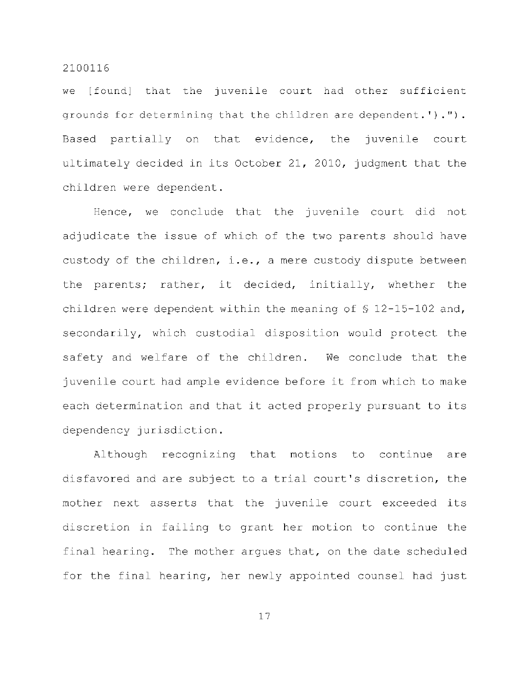we [found] that the juvenile court had other sufficient grounds for determining that the children are dependent.')."). Based partially on that evidence, the juvenile court ultimately decided in its October 21, 2010, judgment that the children were dependent.

Hence, we conclude that the juvenile court did not adjudicate the issue of which of the two parents should have custody of the children, i.e., a mere custody dispute between the parents; rather, it decided, initially, whether the children were dependent within the meaning of  $\frac{12-15-102}{100}$  and, secondarily, which custodial disposition would protect the safety and welfare of the children. We conclude that the juvenile court had ample evidence before it from which to make each determination and that it acted properly pursuant to its dependency jurisdiction.

Although recognizing that motions to continue are disfavored and are subject to a trial court's discretion, the mother next asserts that the juvenile court exceeded its discretion in failing to grant her motion to continue the final hearing. The mother argues that, on the date scheduled for the final hearing, her newly appointed counsel had just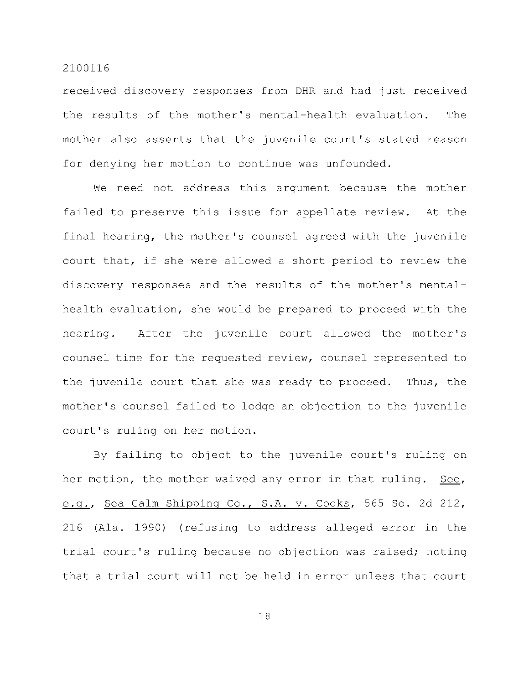received discovery responses from DHR and had just received the results of the mother's mental-health evaluation. The mother also asserts that the juvenile court's stated reason for denying her motion to continue was unfounded.

We need not address this argument because the mother failed to preserve this issue for appellate review. At the final hearing, the mother's counsel agreed with the juvenile court that, if she were allowed a short period to review the discovery responses and the results of the mother's mentalhealth evaluation, she would be prepared to proceed with the hearing. After the juvenile court allowed the mother's counsel time for the requested review, counsel represented to the juvenile court that she was ready to proceed. Thus, the mother's counsel failed to lodge an objection to the juvenile court's ruling on her motion.

By failing to object to the juvenile court's ruling on her motion, the mother waived any error in that ruling. See, e.g., Sea Calm Shipping Co., S.A. v. Cooks, 565 So. 2d 212, 216 (Ala. 1990) (refusing to address alleged error in the trial court's ruling because no objection was raised; noting that a trial court will not be held in error unless that court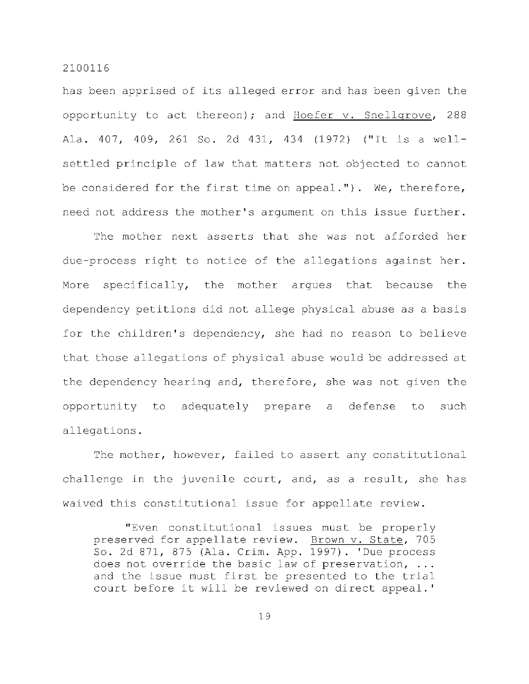has been apprised of its alleged error and has been given the opportunity to act thereon); and Hoefer  $v$ . Snellgrove, 288 Ala. 407, 409, 261 So. 2d 431, 434 (1972) ("It is a wellsettled principle of law that matters not objected to cannot be considered for the first time on appeal."). We, therefore, need not address the mother's argument on this issue further.

The mother next asserts that she was not afforded her due-process right to notice of the allegations against her. More specifically, the mother argues that because the dependency petitions did not allege physical abuse as a basis for the children's dependency, she had no reason to believe that those allegations of physical abuse would be addressed at the dependency hearing and, therefore, she was not given the opportunity to adequately prepare a defense to such allegations .

The mother, however, failed to assert any constitutional challenge in the juvenile court, and, as a result, she has waived this constitutional issue for appellate review.

"Even constitutional issues must be properly preserved for appellate review. Brown v. State, 705 So. 2d 871, 875 (Ala. Crim. App. 1997). 'Due process does not override the basic law of preservation,  $\ldots$ and the issue must first be presented to the trial court before it will be reviewed on direct appeal.'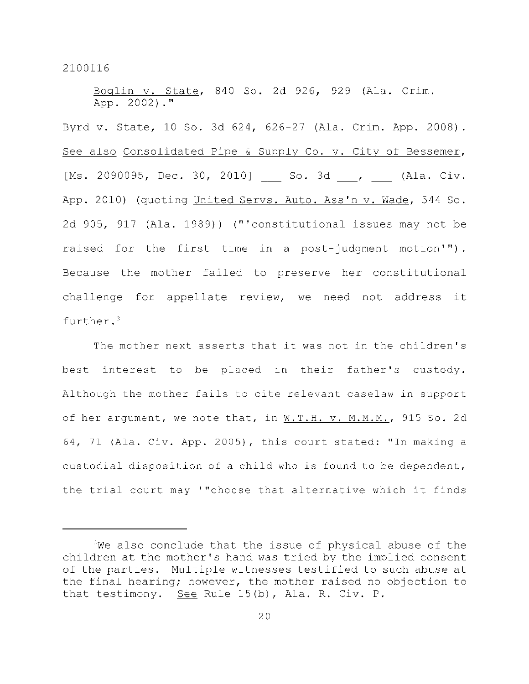Boglin v. State, 840 So. 2d 926, 929 (Ala. Crim. App. 2002). "

Byrd v. State, 10 So. 3d 624, 626-27 (Ala. Crim. App. 2008). See also Consolidated Pipe & Supply Co. v. City of Bessemer, [Ms. 2090095, Dec. 30, 2010] So. 3d , \_\_ (Ala. Civ. App. 2010) (quoting United Servs. Auto. Ass'n v. Wade, 544 So. 2d 905, 917 (Ala. 1989)) ("'constitutional issues may not be raised for the first time in a post-judgment motion'"). Because the mother failed to preserve her constitutional challenge for appellate review, we need not address it further. <sup>3</sup>

The mother next asserts that it was not in the children's best interest to be placed in their father's custody. Although the mother fails to cite relevant caselaw in support of her argument, we note that, in W.T.H. v. M.M.M., 915 So. 2d 64, 71 (Ala. Civ. App. 2005), this court stated: "In making a custodial disposition of a child who is found to be dependent, the trial court may '"choose that alternative which it finds

 $3$ We also conclude that the issue of physical abuse of the children at the mother's hand was tried by the implied consent of the parties. Multiple witnesses testified to such abuse at the final hearing; however, the mother raised no objection to that testimony. See Rule 15(b), Ala. R. Civ. P.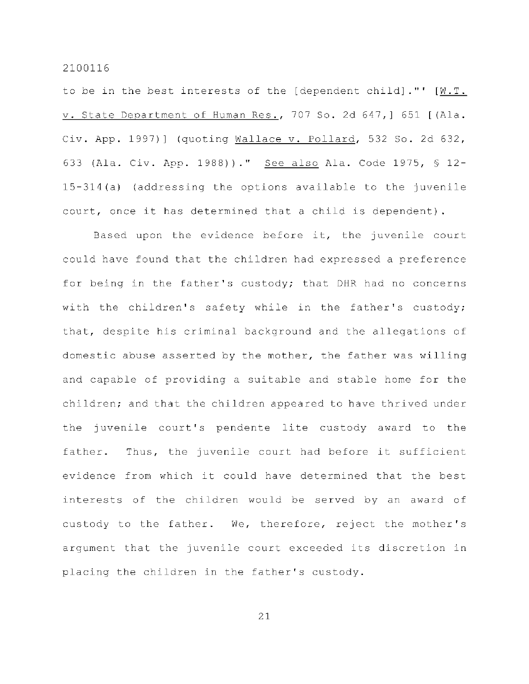to be in the best interests of the [dependent child]."'  $[\underline{W.T.}]$ v. State Department of Human Res., 707 So. 2d 647, ] 651 [(Ala. Civ. App. 1997)] (quoting Wallace v. Pollard, 532 So. 2d 632, 633 (Ala. Civ. App. 1988))." See also Ala. Code 1975, \$ 12- $15-314(a)$  (addressing the options available to the juvenile court, once it has determined that a child is dependent).

Based upon the evidence before it, the juvenile court could have found that the children had expressed a preference for being in the father's custody; that DHR had no concerns with the children's safety while in the father's custody; that, despite his criminal background and the allegations of domestic abuse asserted by the mother, the father was willing and capable of providing a suitable and stable home for the children; and that the children appeared to have thrived under the juvenile court's pendente lite custody award to the father. Thus, the juvenile court had before it sufficient evidence from which it could have determined that the best interests of the children would be served by an award of custody to the father. We, therefore, reject the mother's argument that the juvenile court exceeded its discretion in placing the children in the father's custody.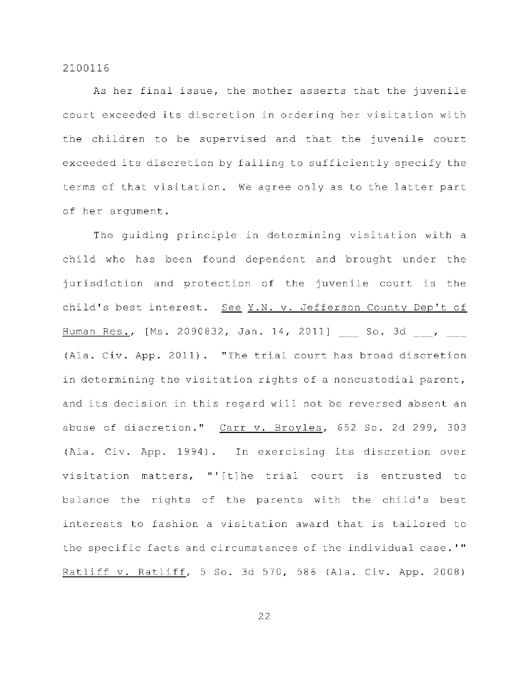As her final issue, the mother asserts that the juvenile court exceeded its discretion in ordering her visitation with the children to be supervised and that the juvenile court exceeded its discretion by failing to sufficiently specify the terms of that visitation. We agree only as to the latter part of her argument.

The guiding principle in determining visitation with a child who has been found dependent and brought under the jurisdiction and protection of the juvenile court is the child's best interest. See  $Y.N. v.$  Jefferson County Dep't of Human Res., [Ms. 2090832, Jan. 14, 2011] So. 3d, , (Ala. Civ. App. 2011). "The trial court has broad discretion in determining the visitation rights of a noncustodial parent, and its decision in this regard will not be reversed absent an abuse of discretion." Carr v. Broyles, 652 So. 2d 299, 303 (Ala. Civ. App. 1994). In exercising its discretion over visitation matters, "'[t]he trial court is entrusted to balance the rights of the parents with the child's best interests to fashion a visitation award that is tailored to the specific facts and circumstances of the individual case.'" Ratliff v. Ratliff, 5 So. 3d 570, 586 (Ala. Civ. App. 2008)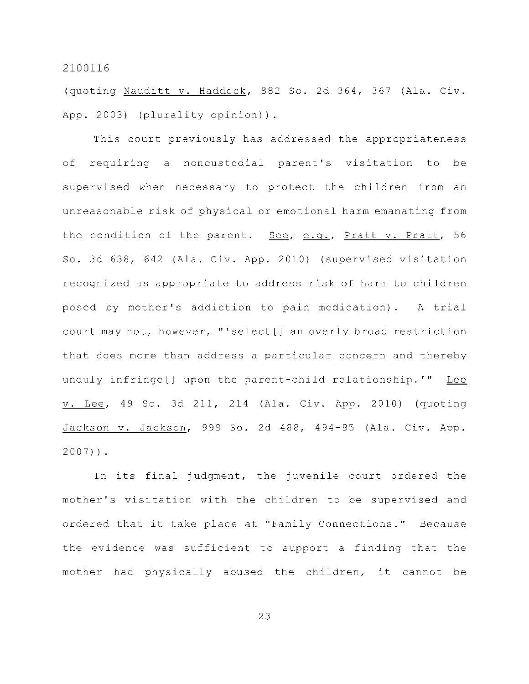(quoting Nauditt v. Haddock, 882 So. 2d 364, 367 (Ala. Civ. App. 2003) (plurality opinion)).

This court previously has addressed the appropriateness of requiring a noncustodial parent's visitation to be supervised when necessary to protect the children from an unreasonable risk of physical or emotional harm emanating from the condition of the parent. See, e.g., Pratt v. Pratt, 56 So. 3d 638, 642 (Ala. Civ. App. 2010) (supervised visitation recognized as appropriate to address risk of harm to children posed by mother's addiction to pain medication). A trial court may not, however, "'select[] an overly broad restriction that does more than address a particular concern and thereby unduly infringe[] upon the parent-child relationship.'" Lee v. Lee, 49 So. 3d 211, 214 (Ala. Civ. App. 2010) (quoting Jackson v. Jackson, 999 So. 2d 488, 494-95 (Ala. Civ. App.  $2007)$ ).

In its final judgment, the juvenile court ordered the mother's visitation with the children to be supervised and ordered that it take place at "Family Connections." Because the evidence was sufficient to support a finding that the mother had physically abused the children, it cannot be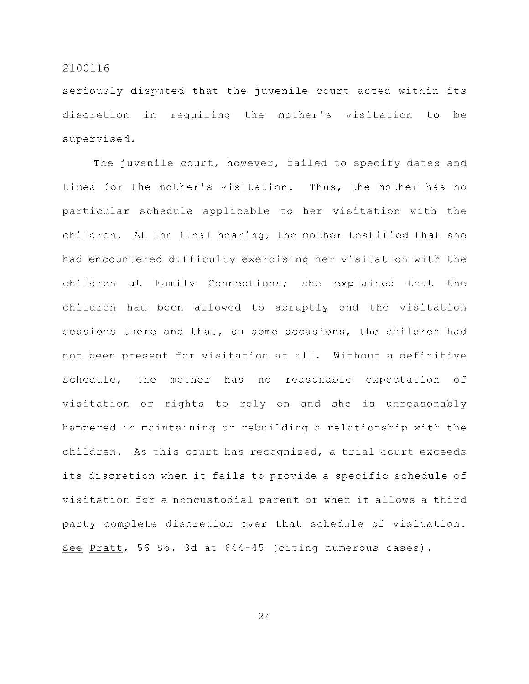seriously disputed that the juvenile court acted within its discretion in requiring the mother's visitation to be supervised .

The juvenile court, however, failed to specify dates and times for the mother's visitation. Thus, the mother has no particular schedule applicable to her visitation with the children. At the final hearing, the mother testified that she had encountered difficulty exercising her visitation with the children at Family Connections; she explained that the children had been allowed to abruptly end the visitation sessions there and that, on some occasions, the children had not been present for visitation at all. Without a definitive schedule, the mother has no reasonable expectation of visitation or rights to rely on and she is unreasonably hampered in maintaining or rebuilding a relationship with the children. As this court has recognized, a trial court exceeds its discretion when it fails to provide a specific schedule of visitation for a noncustodial parent or when it allows a third party complete discretion over that schedule of visitation. See Pratt, 56 So. 3d at  $644-45$  (citing numerous cases).